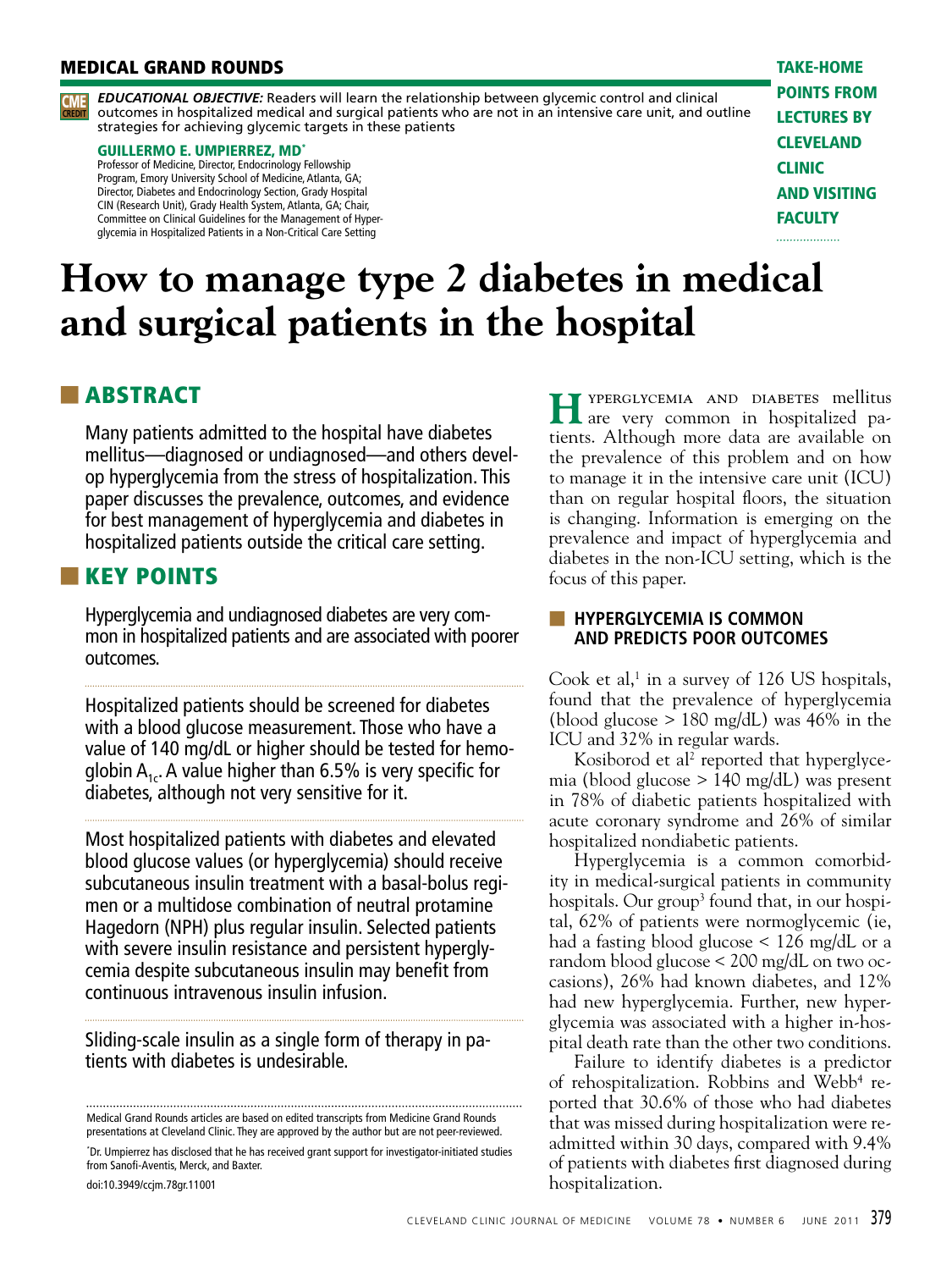#### **MEDICAL GRAND ROUNDS** TAKE-HOME



*EDUCATIONAL OBJECTIVE:* Readers will learn the relationship between glycemic control and clinical outcomes in hospitalized medical and surgical patients who are not in an intensive care unit, and outline **CREDIT** CME strategies for achieving glycemic targets in these patients

#### GUILLERMO E. UMPIERREZ, MD\*

Professor of Medicine, Director, Endocrinology Fellowship Program, Emory University School of Medicine, Atlanta, GA; Director, Diabetes and Endocrinology Section, Grady Hospital CIN (Research Unit), Grady Health System, Atlanta, GA; Chair, Committee on Clinical Guidelines for the Management of Hyperglycemia in Hospitalized Patients in a Non-Critical Care Setting

points from lectures by **CLEVELAND CLINIC** and visiting **FACULTY** 

. . . . . . . . . . . . . . . . .

# **How to manage type 2 diabetes in medical and surgical patients in the hospital**

## ■ ABSTRACT

Many patients admitted to the hospital have diabetes mellitus—diagnosed or undiagnosed—and others develop hyperglycemia from the stress of hospitalization. This paper discusses the prevalence, outcomes, and evidence for best management of hyperglycemia and diabetes in hospitalized patients outside the critical care setting.

## ■ KEY POINTS

Hyperglycemia and undiagnosed diabetes are very common in hospitalized patients and are associated with poorer outcomes.

Hospitalized patients should be screened for diabetes with a blood glucose measurement. Those who have a value of 140 mg/dL or higher should be tested for hemoglobin  $A_{1c}$ . A value higher than 6.5% is very specific for diabetes, although not very sensitive for it.

Most hospitalized patients with diabetes and elevated blood glucose values (or hyperglycemia) should receive subcutaneous insulin treatment with a basal-bolus regimen or a multidose combination of neutral protamine Hagedorn (NPH) plus regular insulin. Selected patients with severe insulin resistance and persistent hyperglycemia despite subcutaneous insulin may benefit from continuous intravenous insulin infusion.

Sliding-scale insulin as a single form of therapy in patients with diabetes is undesirable.

Medical Grand Rounds articles are based on edited transcripts from Medicine Grand Rounds presentations at Cleveland Clinic. They are approved by the author but are not peer-reviewed.

\* Dr. Umpierrez has disclosed that he has received grant support for investigator-initiated studies from Sanofi-Aventis, Merck, and Baxter.

doi:10.3949/ccjm.78gr.11001

 $H$ <sup>YPERGLYCEMIA AND DIABETES mellitus are very common in hospitalized pa-</sup> tients. Although more data are available on the prevalence of this problem and on how to manage it in the intensive care unit (ICU) than on regular hospital floors, the situation is changing. Information is emerging on the prevalence and impact of hyperglycemia and diabetes in the non-ICU setting, which is the focus of this paper.

#### **EXTENSIVE EXAMPLE IS COMMON AND PREDICTS POOR OUTCOMES**

Cook et al, $^1$  in a survey of 126 US hospitals, found that the prevalence of hyperglycemia (blood glucose  $> 180$  mg/dL) was 46% in the ICU and 32% in regular wards.

Kosiborod et al<sup>2</sup> reported that hyperglycemia (blood glucose > 140 mg/dL) was present in 78% of diabetic patients hospitalized with acute coronary syndrome and 26% of similar hospitalized nondiabetic patients.

Hyperglycemia is a common comorbidity in medical-surgical patients in community hospitals. Our group<sup>3</sup> found that, in our hospital, 62% of patients were normoglycemic (ie, had a fasting blood glucose < 126 mg/dL or a random blood glucose < 200 mg/dL on two occasions), 26% had known diabetes, and 12% had new hyperglycemia. Further, new hyperglycemia was associated with a higher in-hospital death rate than the other two conditions.

Failure to identify diabetes is a predictor of rehospitalization. Robbins and Webb<sup>4</sup> reported that 30.6% of those who had diabetes that was missed during hospitalization were readmitted within 30 days, compared with 9.4% of patients with diabetes first diagnosed during hospitalization.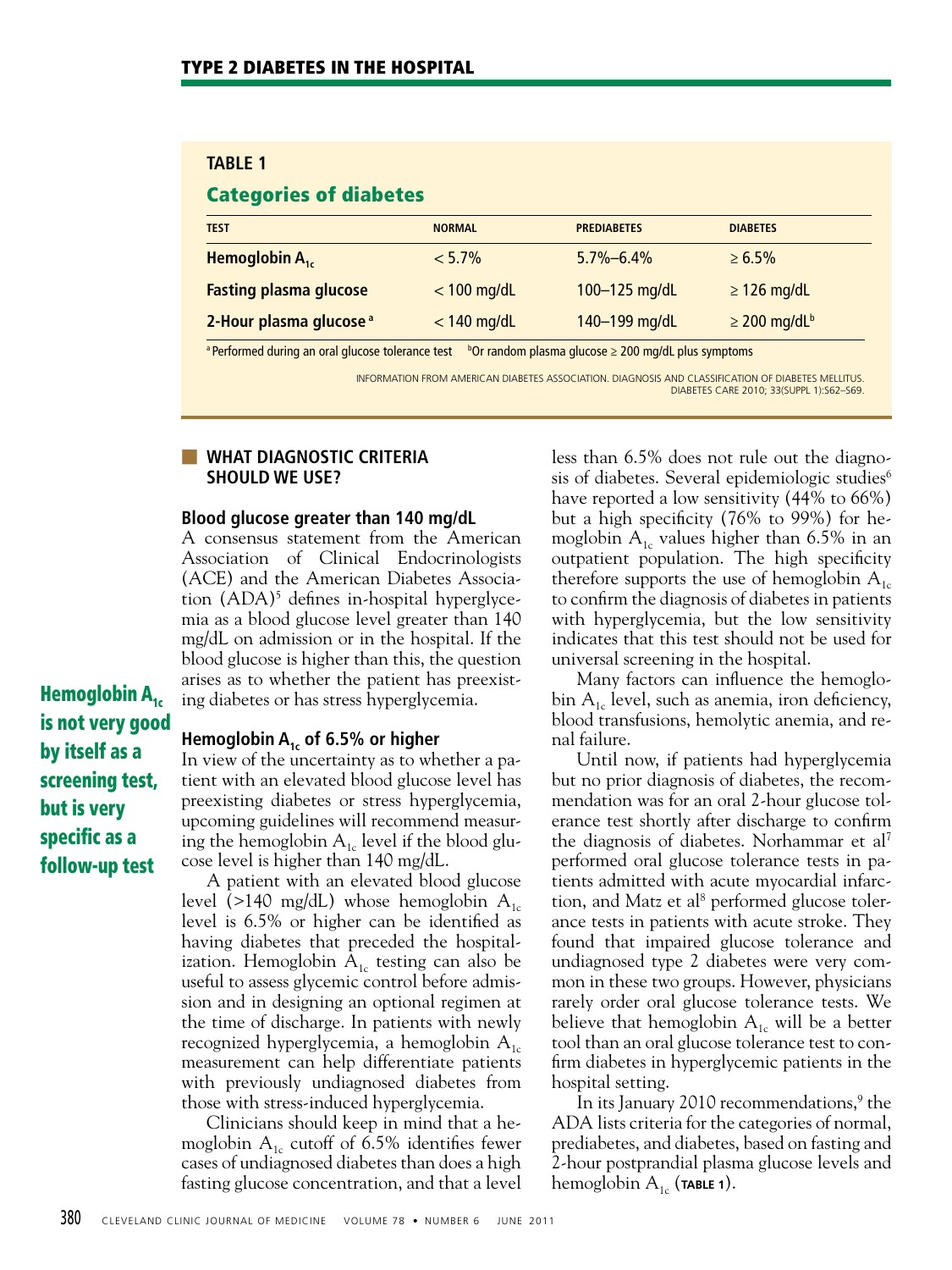#### **TABLE 1**

## Categories of diabetes

| <b>TEST</b>                        | <b>NORMAL</b> | <b>PREDIABETES</b> | <b>DIABETES</b>               |
|------------------------------------|---------------|--------------------|-------------------------------|
| Hemoglobin $A_{1c}$                | $< 5.7\%$     | $5.7\% - 6.4\%$    | $\ge 6.5\%$                   |
| <b>Fasting plasma glucose</b>      | $<$ 100 mg/dL | 100-125 mg/dL      | $\geq$ 126 mg/dL              |
| 2-Hour plasma glucose <sup>a</sup> | $<$ 140 mg/dL | 140-199 mg/dL      | $\geq$ 200 mg/dL <sup>b</sup> |

<sup>a</sup> Performed during an oral glucose tolerance test b<sup>o</sup>Or random plasma glucose ≥ 200 mg/dL plus symptoms

INFORMATION FROM AMERICAN DIABETES ASSOCIATION. DIAGNOSIS AND CLASSIFICATION OF DIABETES MELLITUS. DIABETES CARE 2010; 33(SUPPL 1):S62–S69.

#### ■ **WHAT DIAGNOSTIC CRITERIA SHOULD WE USE?**

#### **Blood glucose greater than 140 mg/dL**

A consensus statement from the American Association of Clinical Endocrinologists (ACE) and the American Diabetes Association (ADA)<sup>5</sup> defines in-hospital hyperglycemia as a blood glucose level greater than 140 mg/dL on admission or in the hospital. If the blood glucose is higher than this, the question arises as to whether the patient has preexisting diabetes or has stress hyperglycemia.

Hemoglobin  $A_{1c}$ is not very good by itself as a screening test, but is very specific as a follow-up test

#### **Hemoglobin A1c of 6.5% or higher**

In view of the uncertainty as to whether a patient with an elevated blood glucose level has preexisting diabetes or stress hyperglycemia, upcoming guidelines will recommend measuring the hemoglobin  $A_{1c}$  level if the blood glucose level is higher than 140 mg/dL.

A patient with an elevated blood glucose level (>140 mg/dL) whose hemoglobin  $A_{1c}$ level is 6.5% or higher can be identified as having diabetes that preceded the hospitalization. Hemoglobin  $A_{1c}$  testing can also be useful to assess glycemic control before admission and in designing an optional regimen at the time of discharge. In patients with newly recognized hyperglycemia, a hemoglobin  $A_{1c}$ measurement can help differentiate patients with previously undiagnosed diabetes from those with stress-induced hyperglycemia.

Clinicians should keep in mind that a hemoglobin  $A_{1c}$  cutoff of 6.5% identifies fewer cases of undiagnosed diabetes than does a high fasting glucose concentration, and that a level

less than 6.5% does not rule out the diagnosis of diabetes. Several epidemiologic studies<sup>6</sup> have reported a low sensitivity (44% to 66%) but a high specificity (76% to 99%) for hemoglobin  $A_{1c}$  values higher than 6.5% in an outpatient population. The high specificity therefore supports the use of hemoglobin  $A_{1c}$ to confirm the diagnosis of diabetes in patients with hyperglycemia, but the low sensitivity indicates that this test should not be used for universal screening in the hospital.

Many factors can influence the hemoglobin  $A_{1c}$  level, such as anemia, iron deficiency, blood transfusions, hemolytic anemia, and renal failure.

Until now, if patients had hyperglycemia but no prior diagnosis of diabetes, the recommendation was for an oral 2-hour glucose tolerance test shortly after discharge to confirm the diagnosis of diabetes. Norhammar et al7 performed oral glucose tolerance tests in patients admitted with acute myocardial infarction, and Matz et al<sup>8</sup> performed glucose tolerance tests in patients with acute stroke. They found that impaired glucose tolerance and undiagnosed type 2 diabetes were very common in these two groups. However, physicians rarely order oral glucose tolerance tests. We believe that hemoglobin  $A_{1c}$  will be a better tool than an oral glucose tolerance test to confirm diabetes in hyperglycemic patients in the hospital setting.

In its January 2010 recommendations,<sup>9</sup> the ADA lists criteria for the categories of normal, prediabetes, and diabetes, based on fasting and 2-hour postprandial plasma glucose levels and hemoglobin  $A_{1c}$  (**TABLE 1**).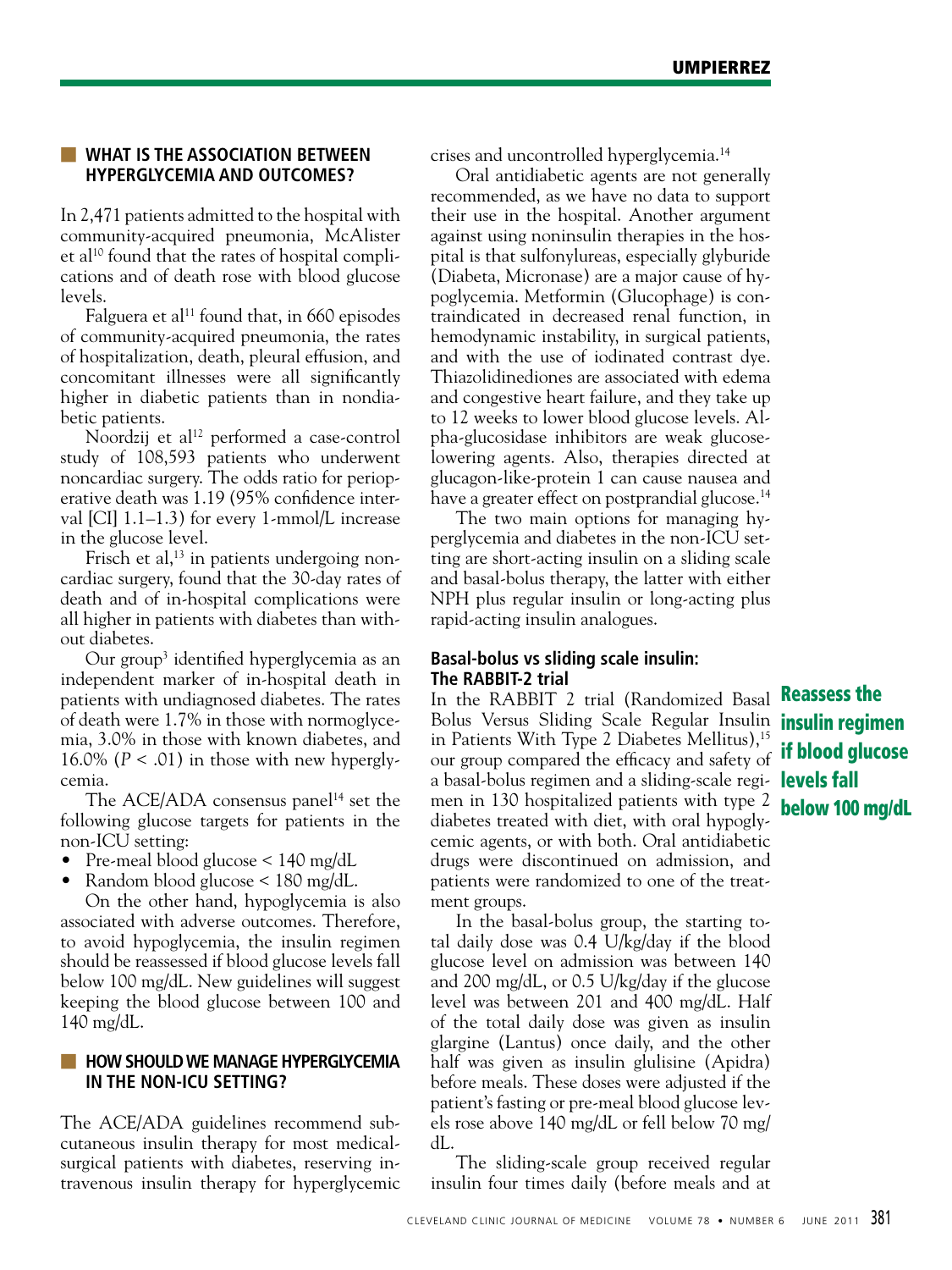#### ■ **WHAT IS THE ASSOCIATION BETWEEN HYPERGLYCEMIA AND OUTCOMES?**

In 2,471 patients admitted to the hospital with community-acquired pneumonia, McAlister et al<sup>10</sup> found that the rates of hospital complications and of death rose with blood glucose levels.

Falguera et al<sup>11</sup> found that, in  $660$  episodes of community-acquired pneumonia, the rates of hospitalization, death, pleural effusion, and concomitant illnesses were all significantly higher in diabetic patients than in nondiabetic patients.

Noordzij et al<sup>12</sup> performed a case-control study of 108,593 patients who underwent noncardiac surgery. The odds ratio for perioperative death was 1.19 (95% confidence interval [CI] 1.1–1.3) for every 1-mmol/L increase in the glucose level.

Frisch et al,<sup>13</sup> in patients undergoing noncardiac surgery, found that the 30-day rates of death and of in-hospital complications were all higher in patients with diabetes than without diabetes.

Our group3 identified hyperglycemia as an independent marker of in-hospital death in patients with undiagnosed diabetes. The rates of death were 1.7% in those with normoglycemia, 3.0% in those with known diabetes, and 16.0% ( $P < .01$ ) in those with new hyperglycemia.

The ACE/ADA consensus panel<sup>14</sup> set the following glucose targets for patients in the non-ICU setting:

- Pre-meal blood glucose  $\leq 140$  mg/dL
- Random blood glucose < 180 mg/dL.

On the other hand, hypoglycemia is also associated with adverse outcomes. Therefore, to avoid hypoglycemia, the insulin regimen should be reassessed if blood glucose levels fall below 100 mg/dL. New guidelines will suggest keeping the blood glucose between 100 and 140 mg/dL.

#### **HOW SHOULD WE MANAGE HYPERGLYCEMIA IN THE NON-ICU SETTING?**

The ACE/ADA guidelines recommend subcutaneous insulin therapy for most medicalsurgical patients with diabetes, reserving intravenous insulin therapy for hyperglycemic crises and uncontrolled hyperglycemia.14

Oral antidiabetic agents are not generally recommended, as we have no data to support their use in the hospital. Another argument against using noninsulin therapies in the hospital is that sulfonylureas, especially glyburide (Diabeta, Micronase) are a major cause of hypoglycemia. Metformin (Glucophage) is contraindicated in decreased renal function, in hemodynamic instability, in surgical patients, and with the use of iodinated contrast dye. Thiazolidinediones are associated with edema and congestive heart failure, and they take up to 12 weeks to lower blood glucose levels. Alpha-glucosidase inhibitors are weak glucoselowering agents. Also, therapies directed at glucagon-like-protein 1 can cause nausea and have a greater effect on postprandial glucose.<sup>14</sup>

The two main options for managing hyperglycemia and diabetes in the non-ICU setting are short-acting insulin on a sliding scale and basal-bolus therapy, the latter with either NPH plus regular insulin or long-acting plus rapid-acting insulin analogues.

#### **Basal-bolus vs sliding scale insulin: The RABBIT-2 trial**

In the RABBIT 2 trial (Randomized Basal **Reassess the** Bolus Versus Sliding Scale Regular Insulin *insulin regimen* in Patients With Type 2 Diabetes Mellitus),<sup>15</sup> our group compared the efficacy and safety of a basal-bolus regimen and a sliding-scale regi- **levels fall** men in 130 hospitalized patients with type 2 diabetes treated with diet, with oral hypoglycemic agents, or with both. Oral antidiabetic drugs were discontinued on admission, and patients were randomized to one of the treatment groups.

In the basal-bolus group, the starting total daily dose was 0.4 U/kg/day if the blood glucose level on admission was between 140 and 200 mg/dL, or 0.5 U/kg/day if the glucose level was between 201 and 400 mg/dL. Half of the total daily dose was given as insulin glargine (Lantus) once daily, and the other half was given as insulin glulisine (Apidra) before meals. These doses were adjusted if the patient's fasting or pre-meal blood glucose levels rose above 140 mg/dL or fell below 70 mg/ dL.

The sliding-scale group received regular insulin four times daily (before meals and at

if blood glucose below 100 mg/dL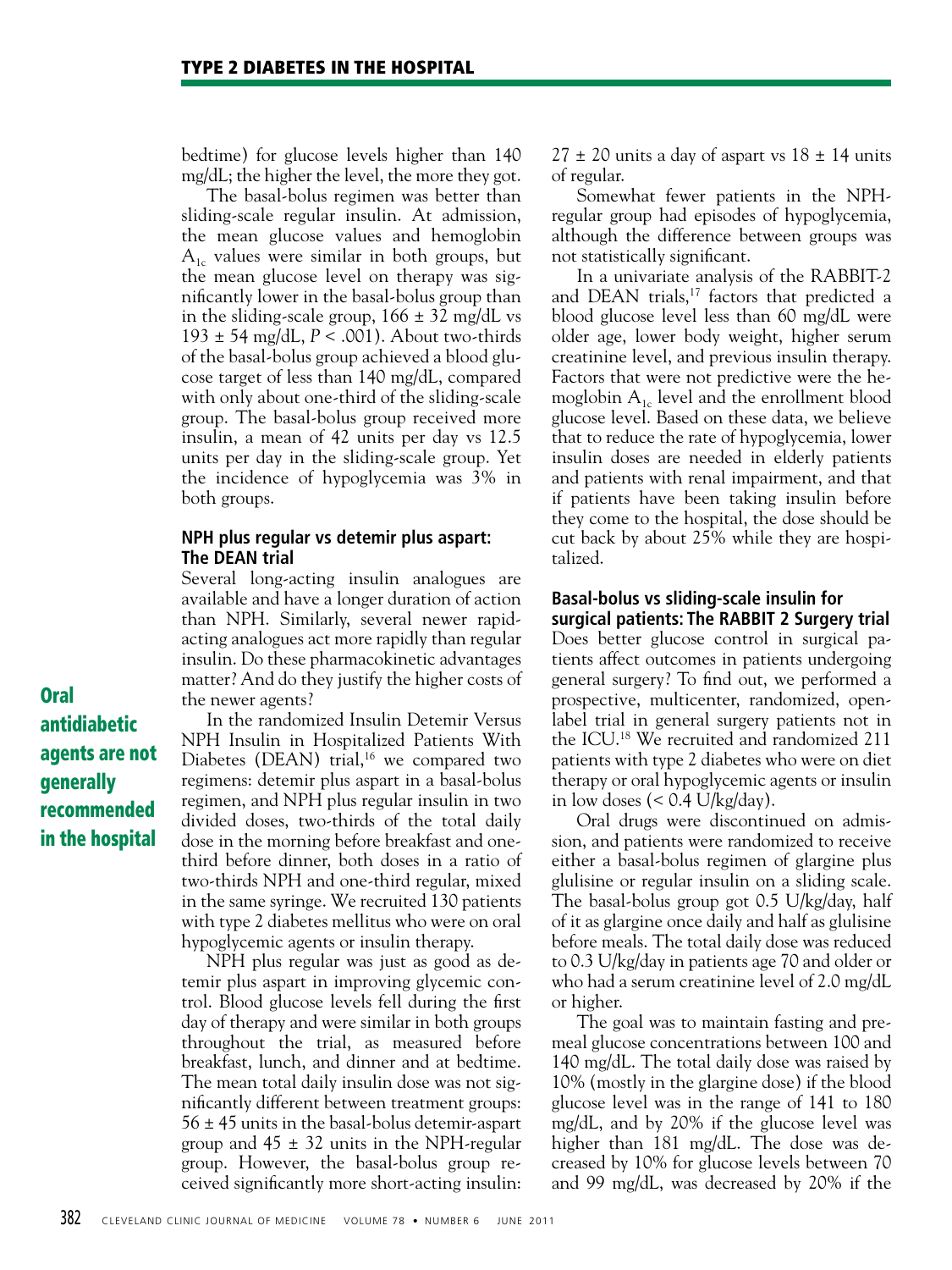bedtime) for glucose levels higher than 140 mg/dL; the higher the level, the more they got.

The basal-bolus regimen was better than sliding-scale regular insulin. At admission, the mean glucose values and hemoglobin  $A_{1c}$  values were similar in both groups, but the mean glucose level on therapy was significantly lower in the basal-bolus group than in the sliding-scale group,  $166 \pm 32$  mg/dL vs 193 ± 54 mg/dL, *P* < .001). About two-thirds of the basal-bolus group achieved a blood glucose target of less than 140 mg/dL, compared with only about one-third of the sliding-scale group. The basal-bolus group received more insulin, a mean of 42 units per day vs 12.5 units per day in the sliding-scale group. Yet the incidence of hypoglycemia was 3% in both groups.

#### **NPH plus regular vs detemir plus aspart: The DEAN trial**

Several long-acting insulin analogues are available and have a longer duration of action than NPH. Similarly, several newer rapidacting analogues act more rapidly than regular insulin. Do these pharmacokinetic advantages matter? And do they justify the higher costs of the newer agents?

In the randomized Insulin Detemir Versus NPH Insulin in Hospitalized Patients With Diabetes (DEAN) trial,<sup>16</sup> we compared two regimens: detemir plus aspart in a basal-bolus regimen, and NPH plus regular insulin in two divided doses, two-thirds of the total daily dose in the morning before breakfast and onethird before dinner, both doses in a ratio of two-thirds NPH and one-third regular, mixed in the same syringe. We recruited 130 patients with type 2 diabetes mellitus who were on oral hypoglycemic agents or insulin therapy.

NPH plus regular was just as good as detemir plus aspart in improving glycemic control. Blood glucose levels fell during the first day of therapy and were similar in both groups throughout the trial, as measured before breakfast, lunch, and dinner and at bedtime. The mean total daily insulin dose was not significantly different between treatment groups: 56 ± 45 units in the basal-bolus detemir-aspart group and  $45 \pm 32$  units in the NPH-regular group. However, the basal-bolus group received significantly more short-acting insulin:

 $27 \pm 20$  units a day of aspart vs  $18 \pm 14$  units of regular.

Somewhat fewer patients in the NPHregular group had episodes of hypoglycemia, although the difference between groups was not statistically significant.

In a univariate analysis of the RABBIT-2 and DEAN trials,<sup>17</sup> factors that predicted a blood glucose level less than 60 mg/dL were older age, lower body weight, higher serum creatinine level, and previous insulin therapy. Factors that were not predictive were the hemoglobin  $A_{1c}$  level and the enrollment blood glucose level. Based on these data, we believe that to reduce the rate of hypoglycemia, lower insulin doses are needed in elderly patients and patients with renal impairment, and that if patients have been taking insulin before they come to the hospital, the dose should be cut back by about 25% while they are hospitalized.

#### **Basal-bolus vs sliding-scale insulin for surgical patients: The RABBIT 2 Surgery trial**

Does better glucose control in surgical patients affect outcomes in patients undergoing general surgery? To find out, we performed a prospective, multicenter, randomized, openlabel trial in general surgery patients not in the ICU.18 We recruited and randomized 211 patients with type 2 diabetes who were on diet therapy or oral hypoglycemic agents or insulin in low doses  $(< 0.4$  U/kg/day).

Oral drugs were discontinued on admission, and patients were randomized to receive either a basal-bolus regimen of glargine plus glulisine or regular insulin on a sliding scale. The basal-bolus group got 0.5 U/kg/day, half of it as glargine once daily and half as glulisine before meals. The total daily dose was reduced to 0.3 U/kg/day in patients age 70 and older or who had a serum creatinine level of 2.0 mg/dL or higher.

The goal was to maintain fasting and premeal glucose concentrations between 100 and 140 mg/dL. The total daily dose was raised by 10% (mostly in the glargine dose) if the blood glucose level was in the range of 141 to 180 mg/dL, and by 20% if the glucose level was higher than 181 mg/dL. The dose was decreased by 10% for glucose levels between 70 and 99 mg/dL, was decreased by 20% if the

Oral antidiabetic agents are not generally recommended in the hospital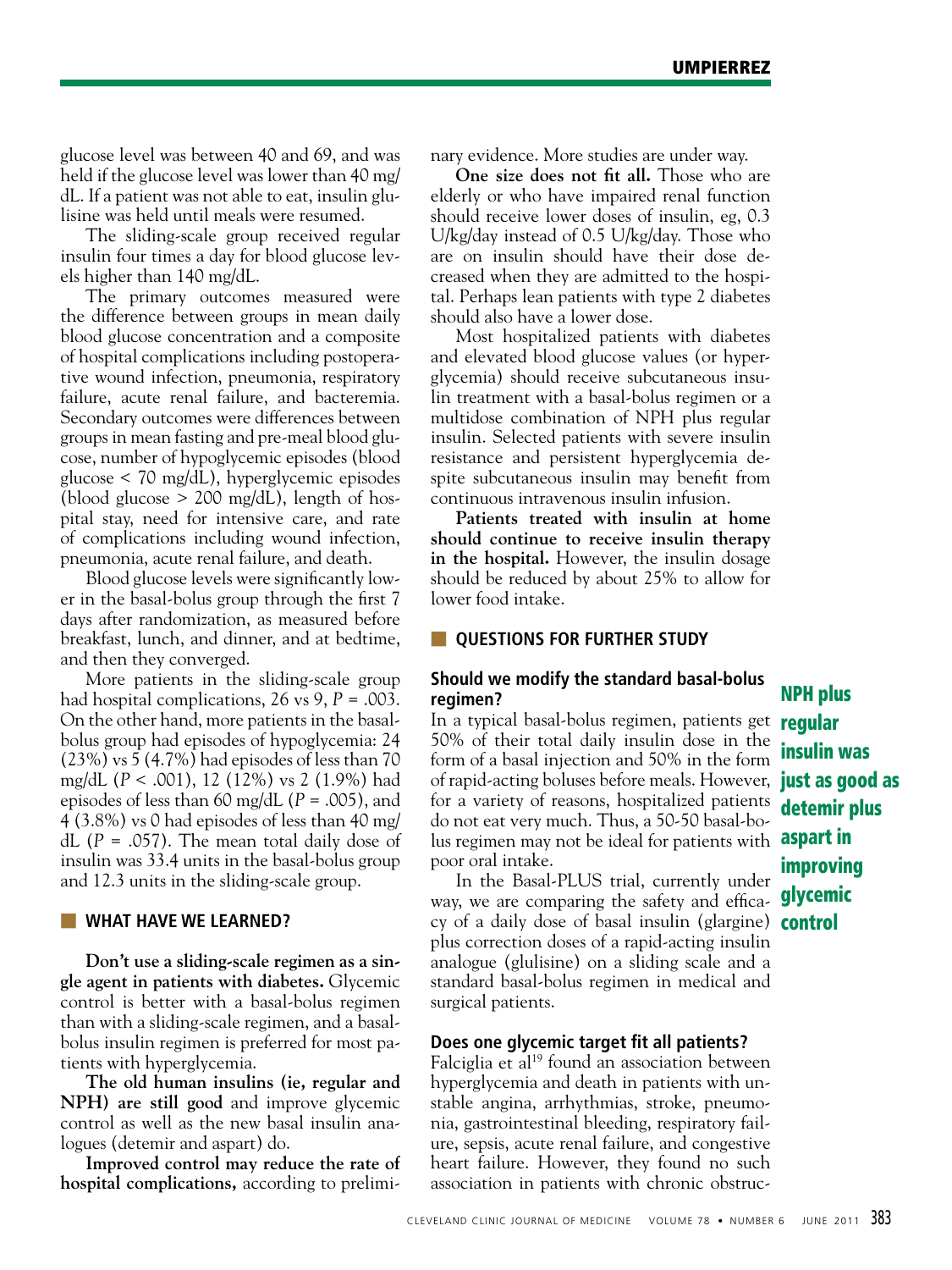glucose level was between 40 and 69, and was held if the glucose level was lower than 40 mg/ dL. If a patient was not able to eat, insulin glulisine was held until meals were resumed.

The sliding-scale group received regular insulin four times a day for blood glucose levels higher than 140 mg/dL.

The primary outcomes measured were the difference between groups in mean daily blood glucose concentration and a composite of hospital complications including postoperative wound infection, pneumonia, respiratory failure, acute renal failure, and bacteremia. Secondary outcomes were differences between groups in mean fasting and pre-meal blood glucose, number of hypoglycemic episodes (blood glucose < 70 mg/dL), hyperglycemic episodes (blood glucose  $> 200$  mg/dL), length of hospital stay, need for intensive care, and rate of complications including wound infection, pneumonia, acute renal failure, and death.

Blood glucose levels were significantly lower in the basal-bolus group through the first 7 days after randomization, as measured before breakfast, lunch, and dinner, and at bedtime, and then they converged.

More patients in the sliding-scale group had hospital complications, 26 vs 9, *P* = .003. On the other hand, more patients in the basalbolus group had episodes of hypoglycemia: 24 (23%) vs 5 (4.7%) had episodes of less than 70 mg/dL (*P* < .001), 12 (12%) vs 2 (1.9%) had episodes of less than 60 mg/dL (*P* = .005), and 4 (3.8%) vs 0 had episodes of less than 40 mg/ dL  $(P = .057)$ . The mean total daily dose of insulin was 33.4 units in the basal-bolus group and 12.3 units in the sliding-scale group.

#### **WHAT HAVE WE LEARNED?**

**Don't use a sliding-scale regimen as a single agent in patients with diabetes.** Glycemic control is better with a basal-bolus regimen than with a sliding-scale regimen, and a basalbolus insulin regimen is preferred for most patients with hyperglycemia.

**The old human insulins (ie, regular and NPH) are still good** and improve glycemic control as well as the new basal insulin analogues (detemir and aspart) do.

**Improved control may reduce the rate of hospital complications,** according to preliminary evidence. More studies are under way.

**One size does not fit all.** Those who are elderly or who have impaired renal function should receive lower doses of insulin, eg, 0.3 U/kg/day instead of 0.5 U/kg/day. Those who are on insulin should have their dose decreased when they are admitted to the hospital. Perhaps lean patients with type 2 diabetes should also have a lower dose.

Most hospitalized patients with diabetes and elevated blood glucose values (or hyperglycemia) should receive subcutaneous insulin treatment with a basal-bolus regimen or a multidose combination of NPH plus regular insulin. Selected patients with severe insulin resistance and persistent hyperglycemia despite subcutaneous insulin may benefit from continuous intravenous insulin infusion.

**Patients treated with insulin at home should continue to receive insulin therapy in the hospital.** However, the insulin dosage should be reduced by about 25% to allow for lower food intake.

#### **QUESTIONS FOR FURTHER STUDY**

#### **Should we modify the standard basal-bolus regimen?**

In a typical basal-bolus regimen, patients get **regular** 50% of their total daily insulin dose in the form of a basal injection and 50% in the form of rapid-acting boluses before meals. However, just as good as for a variety of reasons, hospitalized patients do not eat very much. Thus, a 50-50 basal-bolus regimen may not be ideal for patients with **aspart in** poor oral intake.

In the Basal-PLUS trial, currently under way, we are comparing the safety and effica- **glycemic** cy of a daily dose of basal insulin (glargine) control plus correction doses of a rapid-acting insulin analogue (glulisine) on a sliding scale and a standard basal-bolus regimen in medical and surgical patients.

#### **Does one glycemic target fit all patients?**

Falciglia et al<sup>19</sup> found an association between hyperglycemia and death in patients with unstable angina, arrhythmias, stroke, pneumonia, gastrointestinal bleeding, respiratory failure, sepsis, acute renal failure, and congestive heart failure. However, they found no such association in patients with chronic obstruc-

NPH plus insulin was detemir plus improving